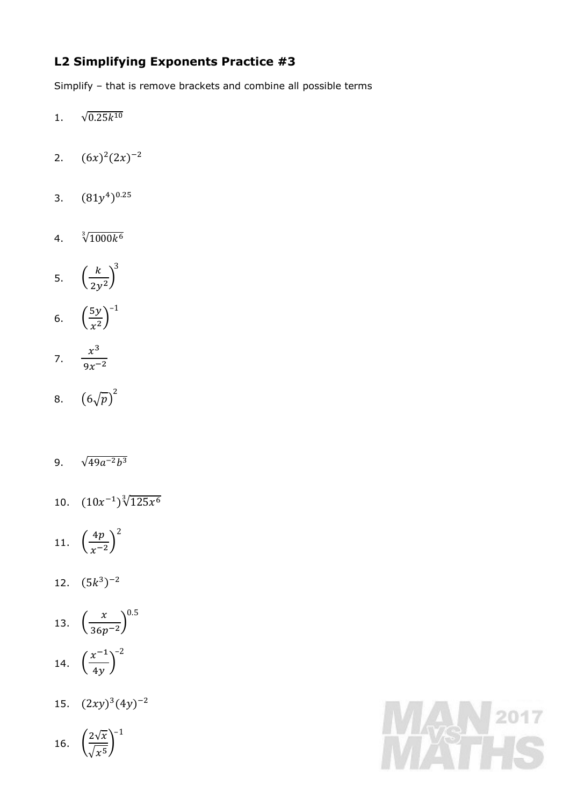## **L2 Simplifying Exponents Practice #3**

Simplify – that is remove brackets and combine all possible terms

- 1.  $\sqrt{0.25k^{10}}$
- 2.  $(6x)^2 (2x)^{-2}$
- 3.  $(81y^4)^{0.25}$
- 4.  $\sqrt[3]{1000k^6}$

$$
5. \quad \left(\frac{k}{2y^2}\right)^3
$$

6.  $\left(\frac{5y}{x^2}\right)$  $\left(\frac{5y}{x^2}\right)^{-1}$ 

$$
7. \quad \frac{x^3}{9x^{-2}}
$$

- 8.  $(6\sqrt{p})^2$
- 9.  $\sqrt{49a^{-2}b^3}$
- 10.  $(10x^{-1})\sqrt[3]{125x^6}$

$$
11. \quad \left(\frac{4p}{x^{-2}}\right)^2
$$

12.  $(5k^3)^{-2}$ 

13. 
$$
\left(\frac{x}{36p^{-2}}\right)^{0.5}
$$

$$
14. \quad \left(\frac{x^{-1}}{4y}\right)^{-2}
$$

15.  $(2xy)^3(4y)^{-2}$ 

16. 
$$
\left(\frac{2\sqrt{x}}{\sqrt{x^5}}\right)^{-1}
$$